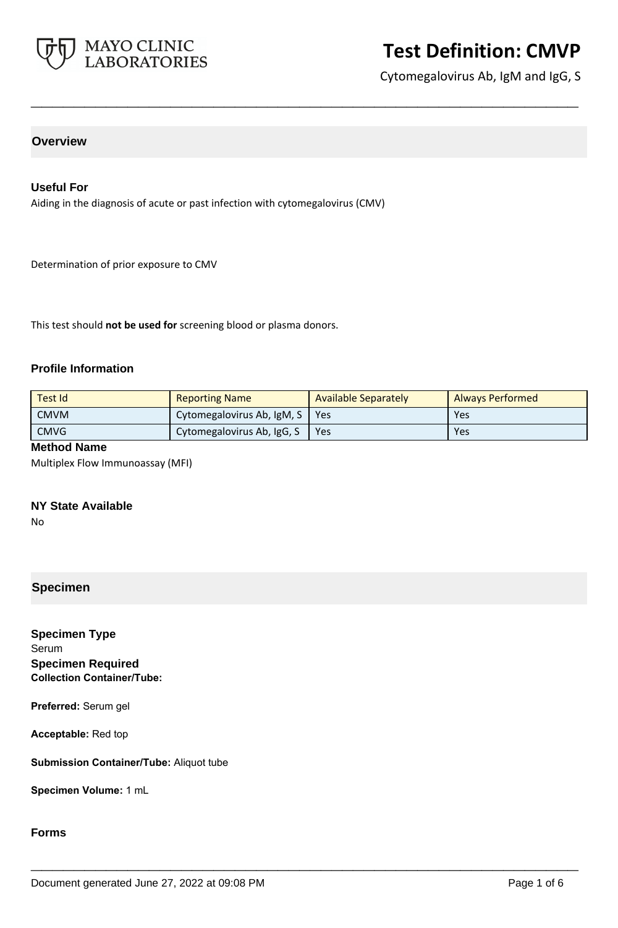

Cytomegalovirus Ab, IgM and IgG, S

# **Overview**

### **Useful For**

Aiding in the diagnosis of acute or past infection with cytomegalovirus (CMV)

Determination of prior exposure to CMV

This test should **not be used for** screening blood or plasma donors.

#### **Profile Information**

| Test Id     | <b>Reporting Name</b>      | Available Separately | <b>Always Performed</b> |
|-------------|----------------------------|----------------------|-------------------------|
| <b>CMVM</b> | Cytomegalovirus Ab, IgM, S | Yes                  | Yes                     |
| <b>CMVG</b> | Cytomegalovirus Ab, IgG, S | Yes                  | Yes                     |

**\_\_\_\_\_\_\_\_\_\_\_\_\_\_\_\_\_\_\_\_\_\_\_\_\_\_\_\_\_\_\_\_\_\_\_\_\_\_\_\_\_\_\_\_\_\_\_\_\_\_\_**

**\_\_\_\_\_\_\_\_\_\_\_\_\_\_\_\_\_\_\_\_\_\_\_\_\_\_\_\_\_\_\_\_\_\_\_\_\_\_\_\_\_\_\_\_\_\_\_\_\_\_\_**

#### **Method Name**

Multiplex Flow Immunoassay (MFI)

## **NY State Available**

No

# **Specimen**

**Specimen Type** Serum **Specimen Required Collection Container/Tube:**

**Preferred:** Serum gel

**Acceptable:** Red top

**Submission Container/Tube:** Aliquot tube

**Specimen Volume:** 1 mL

### **Forms**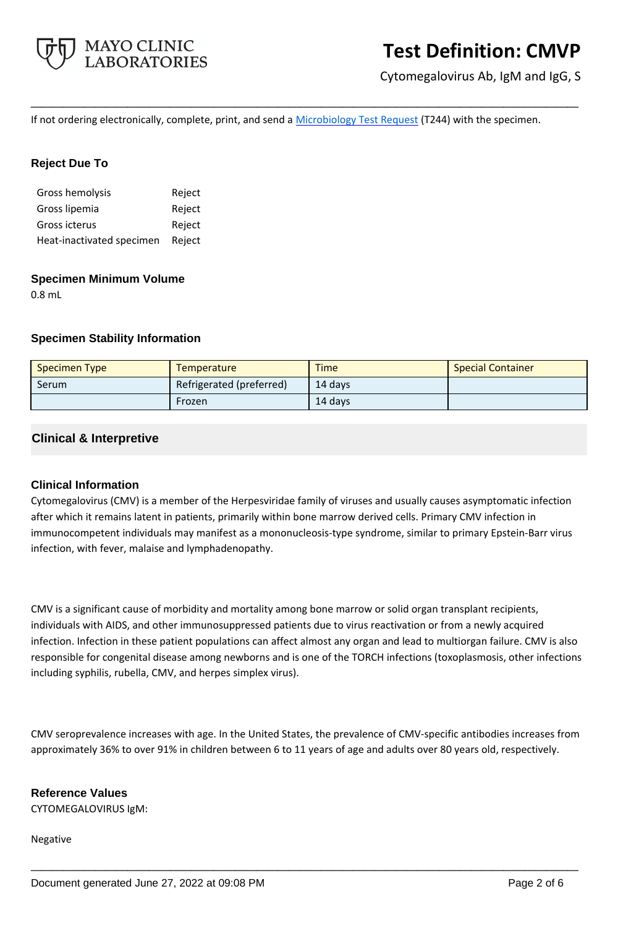

Cytomegalovirus Ab, IgM and IgG, S

If not ordering electronically, complete, print, and send a [Microbiology Test Request](https://www.mayocliniclabs.com/it-mmfiles/Microbiology_Test_Request_Form.pdf) (T244) with the specimen.

**\_\_\_\_\_\_\_\_\_\_\_\_\_\_\_\_\_\_\_\_\_\_\_\_\_\_\_\_\_\_\_\_\_\_\_\_\_\_\_\_\_\_\_\_\_\_\_\_\_\_\_**

## **Reject Due To**

| Gross hemolysis           | Reject |
|---------------------------|--------|
| Gross lipemia             | Reject |
| Gross icterus             | Reject |
| Heat-inactivated specimen | Reject |

#### **Specimen Minimum Volume**

0.8 mL

## **Specimen Stability Information**

| <b>Specimen Type</b> | <b>Temperature</b>       | <b>Time</b> | <b>Special Container</b> |
|----------------------|--------------------------|-------------|--------------------------|
| Serum                | Refrigerated (preferred) | 14 davs     |                          |
|                      | Frozen                   | 14 days     |                          |

## **Clinical & Interpretive**

## **Clinical Information**

Cytomegalovirus (CMV) is a member of the Herpesviridae family of viruses and usually causes asymptomatic infection after which it remains latent in patients, primarily within bone marrow derived cells. Primary CMV infection in immunocompetent individuals may manifest as a mononucleosis-type syndrome, similar to primary Epstein-Barr virus infection, with fever, malaise and lymphadenopathy.

CMV is a significant cause of morbidity and mortality among bone marrow or solid organ transplant recipients, individuals with AIDS, and other immunosuppressed patients due to virus reactivation or from a newly acquired infection. Infection in these patient populations can affect almost any organ and lead to multiorgan failure. CMV is also responsible for congenital disease among newborns and is one of the TORCH infections (toxoplasmosis, other infections including syphilis, rubella, CMV, and herpes simplex virus).

CMV seroprevalence increases with age. In the United States, the prevalence of CMV-specific antibodies increases from approximately 36% to over 91% in children between 6 to 11 years of age and adults over 80 years old, respectively.

**\_\_\_\_\_\_\_\_\_\_\_\_\_\_\_\_\_\_\_\_\_\_\_\_\_\_\_\_\_\_\_\_\_\_\_\_\_\_\_\_\_\_\_\_\_\_\_\_\_\_\_**

## **Reference Values**

CYTOMEGALOVIRUS IgM:

#### Negative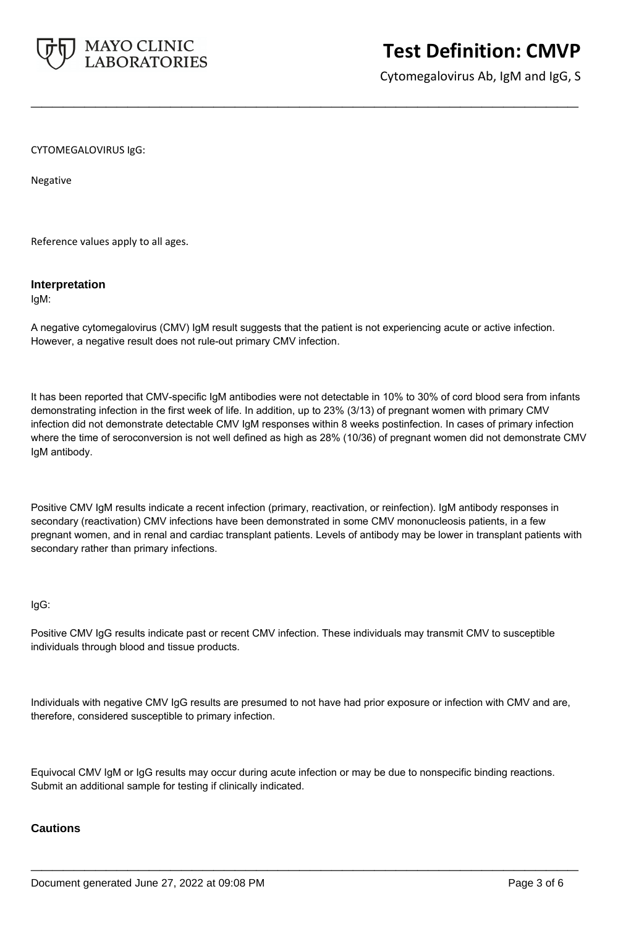

Cytomegalovirus Ab, IgM and IgG, S

CYTOMEGALOVIRUS IgG:

Negative

Reference values apply to all ages.

#### **Interpretation**

IgM:

A negative cytomegalovirus (CMV) IgM result suggests that the patient is not experiencing acute or active infection. However, a negative result does not rule-out primary CMV infection.

**\_\_\_\_\_\_\_\_\_\_\_\_\_\_\_\_\_\_\_\_\_\_\_\_\_\_\_\_\_\_\_\_\_\_\_\_\_\_\_\_\_\_\_\_\_\_\_\_\_\_\_**

It has been reported that CMV-specific IgM antibodies were not detectable in 10% to 30% of cord blood sera from infants demonstrating infection in the first week of life. In addition, up to 23% (3/13) of pregnant women with primary CMV infection did not demonstrate detectable CMV IgM responses within 8 weeks postinfection. In cases of primary infection where the time of seroconversion is not well defined as high as 28% (10/36) of pregnant women did not demonstrate CMV IgM antibody.

Positive CMV IgM results indicate a recent infection (primary, reactivation, or reinfection). IgM antibody responses in secondary (reactivation) CMV infections have been demonstrated in some CMV mononucleosis patients, in a few pregnant women, and in renal and cardiac transplant patients. Levels of antibody may be lower in transplant patients with secondary rather than primary infections.

#### IgG:

Positive CMV IgG results indicate past or recent CMV infection. These individuals may transmit CMV to susceptible individuals through blood and tissue products.

Individuals with negative CMV IgG results are presumed to not have had prior exposure or infection with CMV and are, therefore, considered susceptible to primary infection.

Equivocal CMV IgM or IgG results may occur during acute infection or may be due to nonspecific binding reactions. Submit an additional sample for testing if clinically indicated.

**\_\_\_\_\_\_\_\_\_\_\_\_\_\_\_\_\_\_\_\_\_\_\_\_\_\_\_\_\_\_\_\_\_\_\_\_\_\_\_\_\_\_\_\_\_\_\_\_\_\_\_**

## **Cautions**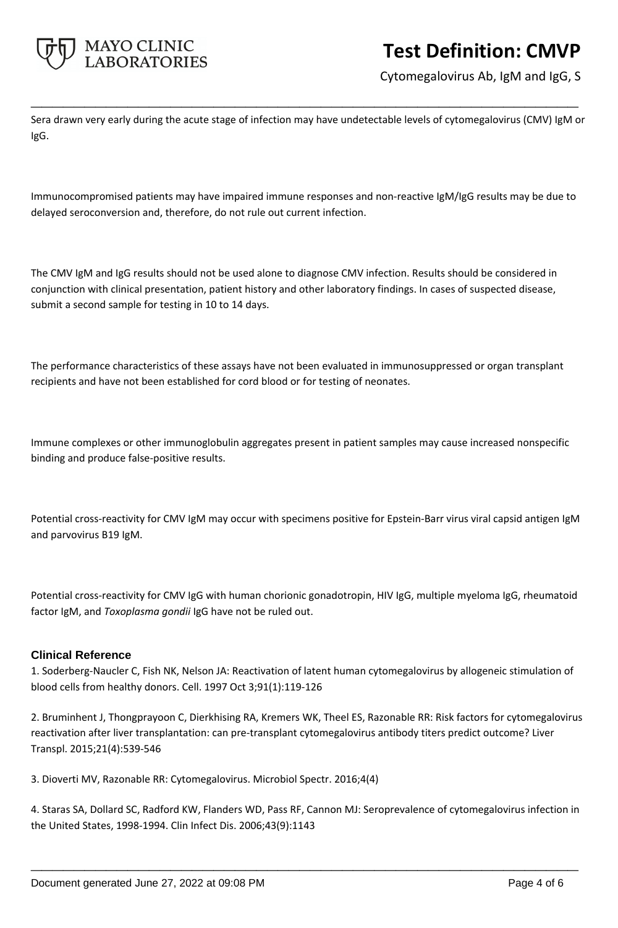

Cytomegalovirus Ab, IgM and IgG, S

Sera drawn very early during the acute stage of infection may have undetectable levels of cytomegalovirus (CMV) IgM or IgG.

**\_\_\_\_\_\_\_\_\_\_\_\_\_\_\_\_\_\_\_\_\_\_\_\_\_\_\_\_\_\_\_\_\_\_\_\_\_\_\_\_\_\_\_\_\_\_\_\_\_\_\_**

Immunocompromised patients may have impaired immune responses and non-reactive IgM/IgG results may be due to delayed seroconversion and, therefore, do not rule out current infection.

The CMV IgM and IgG results should not be used alone to diagnose CMV infection. Results should be considered in conjunction with clinical presentation, patient history and other laboratory findings. In cases of suspected disease, submit a second sample for testing in 10 to 14 days.

The performance characteristics of these assays have not been evaluated in immunosuppressed or organ transplant recipients and have not been established for cord blood or for testing of neonates.

Immune complexes or other immunoglobulin aggregates present in patient samples may cause increased nonspecific binding and produce false-positive results.

Potential cross-reactivity for CMV IgM may occur with specimens positive for Epstein-Barr virus viral capsid antigen IgM and parvovirus B19 IgM.

Potential cross-reactivity for CMV IgG with human chorionic gonadotropin, HIV IgG, multiple myeloma IgG, rheumatoid factor IgM, and *Toxoplasma gondii* IgG have not be ruled out.

## **Clinical Reference**

1. Soderberg-Naucler C, Fish NK, Nelson JA: Reactivation of latent human cytomegalovirus by allogeneic stimulation of blood cells from healthy donors. Cell. 1997 Oct 3;91(1):119-126

2. Bruminhent J, Thongprayoon C, Dierkhising RA, Kremers WK, Theel ES, Razonable RR: Risk factors for cytomegalovirus reactivation after liver transplantation: can pre-transplant cytomegalovirus antibody titers predict outcome? Liver Transpl. 2015;21(4):539-546

3. Dioverti MV, Razonable RR: Cytomegalovirus. Microbiol Spectr. 2016;4(4)

4. Staras SA, Dollard SC, Radford KW, Flanders WD, Pass RF, Cannon MJ: Seroprevalence of cytomegalovirus infection in the United States, 1998-1994. Clin Infect Dis. 2006;43(9):1143

**\_\_\_\_\_\_\_\_\_\_\_\_\_\_\_\_\_\_\_\_\_\_\_\_\_\_\_\_\_\_\_\_\_\_\_\_\_\_\_\_\_\_\_\_\_\_\_\_\_\_\_**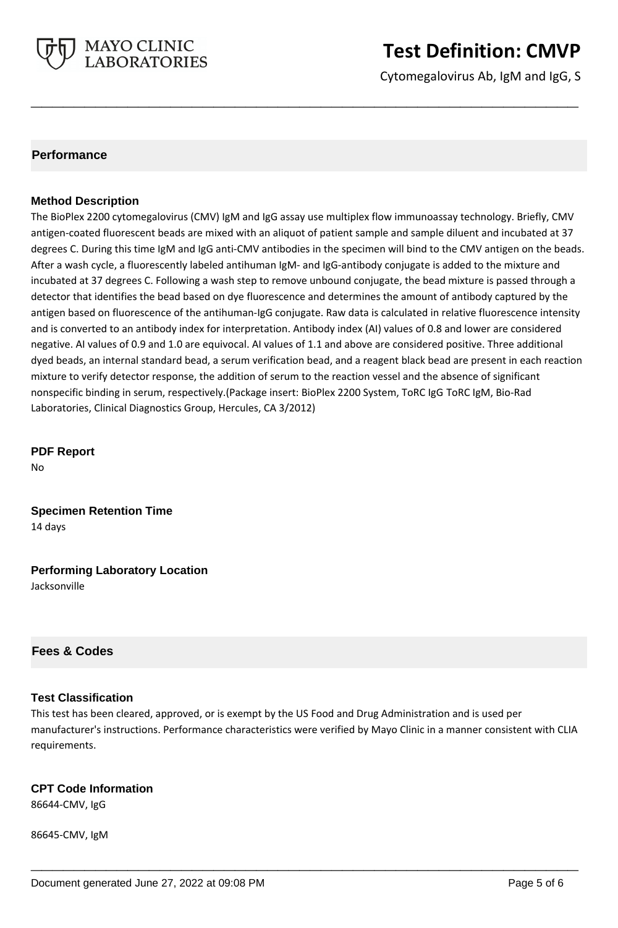

Cytomegalovirus Ab, IgM and IgG, S

## **Performance**

### **Method Description**

The BioPlex 2200 cytomegalovirus (CMV) IgM and IgG assay use multiplex flow immunoassay technology. Briefly, CMV antigen-coated fluorescent beads are mixed with an aliquot of patient sample and sample diluent and incubated at 37 degrees C. During this time IgM and IgG anti-CMV antibodies in the specimen will bind to the CMV antigen on the beads. After a wash cycle, a fluorescently labeled antihuman IgM- and IgG-antibody conjugate is added to the mixture and incubated at 37 degrees C. Following a wash step to remove unbound conjugate, the bead mixture is passed through a detector that identifies the bead based on dye fluorescence and determines the amount of antibody captured by the antigen based on fluorescence of the antihuman-IgG conjugate. Raw data is calculated in relative fluorescence intensity and is converted to an antibody index for interpretation. Antibody index (AI) values of 0.8 and lower are considered negative. AI values of 0.9 and 1.0 are equivocal. AI values of 1.1 and above are considered positive. Three additional dyed beads, an internal standard bead, a serum verification bead, and a reagent black bead are present in each reaction mixture to verify detector response, the addition of serum to the reaction vessel and the absence of significant nonspecific binding in serum, respectively.(Package insert: BioPlex 2200 System, ToRC IgG ToRC IgM, Bio-Rad Laboratories, Clinical Diagnostics Group, Hercules, CA 3/2012)

**\_\_\_\_\_\_\_\_\_\_\_\_\_\_\_\_\_\_\_\_\_\_\_\_\_\_\_\_\_\_\_\_\_\_\_\_\_\_\_\_\_\_\_\_\_\_\_\_\_\_\_**

**PDF Report** No

**Specimen Retention Time** 14 days

**Performing Laboratory Location** Jacksonville

## **Fees & Codes**

#### **Test Classification**

This test has been cleared, approved, or is exempt by the US Food and Drug Administration and is used per manufacturer's instructions. Performance characteristics were verified by Mayo Clinic in a manner consistent with CLIA requirements.

**\_\_\_\_\_\_\_\_\_\_\_\_\_\_\_\_\_\_\_\_\_\_\_\_\_\_\_\_\_\_\_\_\_\_\_\_\_\_\_\_\_\_\_\_\_\_\_\_\_\_\_**

## **CPT Code Information**

86644-CMV, IgG

86645-CMV, IgM